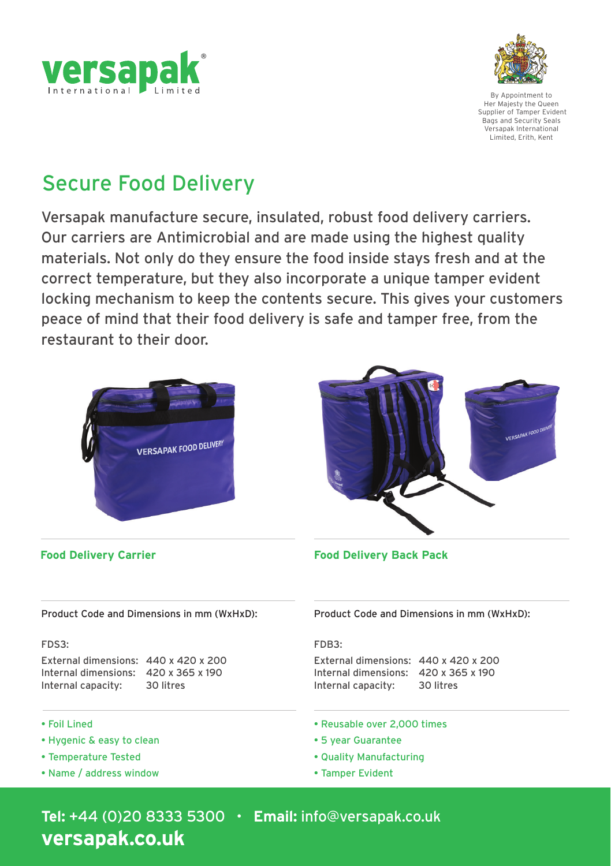



By Appointment to Her Majesty the Queen Supplier of Tamper Evident Bags and Security Seals Versapak International Limited, Erith, Kent

# Secure Food Delivery

Versapak manufacture secure, insulated, robust food delivery carriers. Our carriers are Antimicrobial and are made using the highest quality materials. Not only do they ensure the food inside stays fresh and at the correct temperature, but they also incorporate a unique tamper evident locking mechanism to keep the contents secure. This gives your customers peace of mind that their food delivery is safe and tamper free, from the restaurant to their door.





**Food Delivery Carrier Food Delivery Back Pack**

Product Code and Dimensions in mm (WxHxD): Product Code and Dimensions in mm (WxHxD):

### FDS3:

External dimensions: 440 x 420 x 200 Internal dimensions: 420 x 365 x 190<br>Internal capacity: 30 litres Internal capacity:

- Foil Lined
- Hygenic & easy to clean
- Temperature Tested
- Name / address window

FDB3:

External dimensions: 440 x 420 x 200 Internal dimensions: 420 x 365 x 190<br>Internal capacity: 30 litres Internal capacity:

- Reusable over 2,000 times
- 5 year Guarantee
- Quality Manufacturing
- Tamper Evident

**Tel:** +44 (0)20 8333 5300 • **Email:** info@versapak.co.uk **versapak.co.uk**